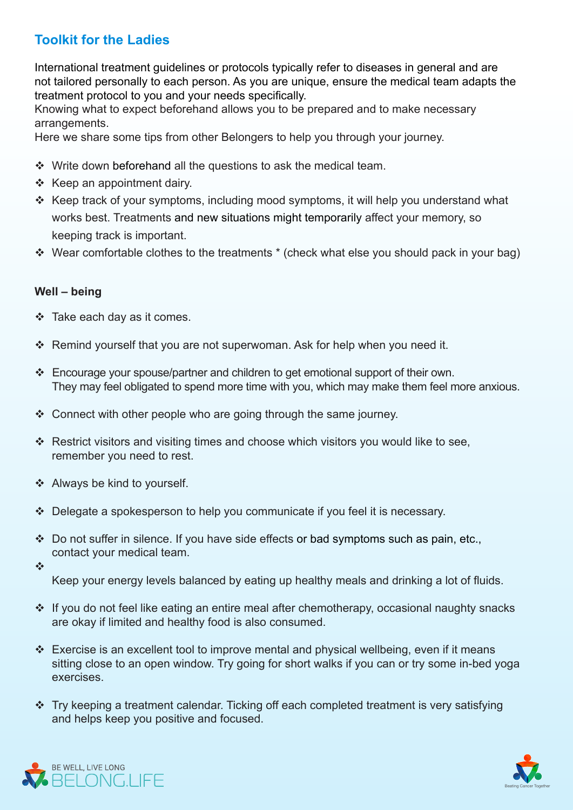# **Toolkit for the Ladies**

International treatment guidelines or protocols typically refer to diseases in general and are not tailored personally to each person. As you are unique, ensure the medical team adapts the treatment protocol to you and your needs specifically.

Knowing what to expect beforehand allows you to be prepared and to make necessary .arrangements

Here we share some tips from other Belongers to help you through your journey.

- $\cdot$  Write down beforehand all the questions to ask the medical team.
- $\div$  Keep an appointment dairy.
- $\cdot$  Keep track of your symptoms, including mood symptoms, it will help you understand what works best. Treatments and new situations might temporarily affect your memory, so keeping track is important.
- $\cdot$  Wear comfortable clothes to the treatments  $*$  (check what else you should pack in your bag)

## Well – being

- $\div$  Take each day as it comes.
- Remind yourself that you are not superwoman. Ask for help when you need it.
- $\cdot$  Encourage your spouse/partner and children to get emotional support of their own. They may feel obligated to spend more time with you, which may make them feel more anxious.
- $\cdot$  Connect with other people who are going through the same journey.
- $\cdot$  Restrict visitors and visiting times and choose which visitors you would like to see, remember you need to rest.
- $\div$  Always be kind to yourself.
- $\triangle$  Delegate a spokesperson to help you communicate if you feel it is necessary.
- $\cdot$  Do not suffer in silence. If you have side effects or bad symptoms such as pain, etc., contact your medical team.
- $\frac{1}{2}$

Keep your energy levels balanced by eating up healthy meals and drinking a lot of fluids.

- $\cdot$  If you do not feel like eating an entire meal after chemotherapy, occasional naughty snacks are okay if limited and healthy food is also consumed.
- Exercise is an excellent tool to improve mental and physical wellbeing, even if it means sitting close to an open window. Try going for short walks if you can or try some in-bed yoga .exercises
- $\cdot$  Try keeping a treatment calendar. Ticking off each completed treatment is very satisfying and helps keep you positive and focused.